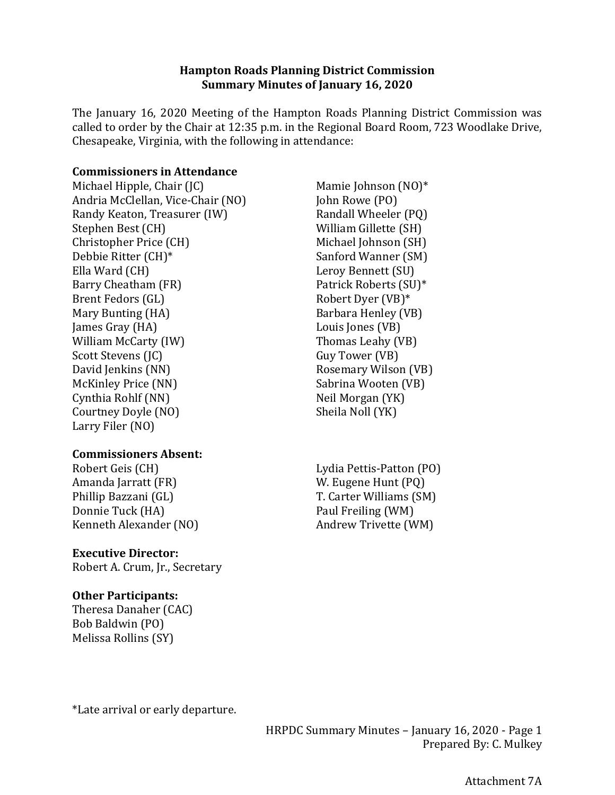#### **Hampton Roads Planning District Commission Summary Minutes of January 16, 2020**

The January 16, 2020 Meeting of the Hampton Roads Planning District Commission was called to order by the Chair at 12:35 p.m. in the Regional Board Room, 723 Woodlake Drive, Chesapeake, Virginia, with the following in attendance:

#### **Commissioners in Attendance**

Michael Hipple, Chair (JC) Andria McClellan, Vice-Chair (NO) Randy Keaton, Treasurer (IW) Stephen Best (CH) Christopher Price (CH) Debbie Ritter (CH)\* Ella Ward (CH) Barry Cheatham (FR) Brent Fedors (GL) Mary Bunting (HA) James Gray (HA) William McCarty (IW) Scott Stevens (JC) David Jenkins (NN) McKinley Price (NN) Cynthia Rohlf (NN) Courtney Doyle (NO) Larry Filer (NO)

### **Commissioners Absent:**

Robert Geis (CH) Amanda Jarratt (FR) Phillip Bazzani (GL) Donnie Tuck (HA) Kenneth Alexander (NO)

#### **Executive Director:**

Robert A. Crum, Jr., Secretary

### **Other Participants:**

Theresa Danaher (CAC) Bob Baldwin (PO) Melissa Rollins (SY)

\*Late arrival or early departure.

Mamie Johnson (NO)\* John Rowe (PO) Randall Wheeler (PQ) William Gillette (SH) Michael Johnson (SH) Sanford Wanner (SM) Leroy Bennett (SU) Patrick Roberts (SU)\* Robert Dyer (VB)\* Barbara Henley (VB) Louis Jones (VB) Thomas Leahy (VB) Guy Tower (VB) Rosemary Wilson (VB) Sabrina Wooten (VB) Neil Morgan (YK) Sheila Noll (YK)

Lydia Pettis-Patton (PO) W. Eugene Hunt (PQ) T. Carter Williams (SM) Paul Freiling (WM) Andrew Trivette (WM)

HRPDC Summary Minutes – January 16, 2020 - Page 1 Prepared By: C. Mulkey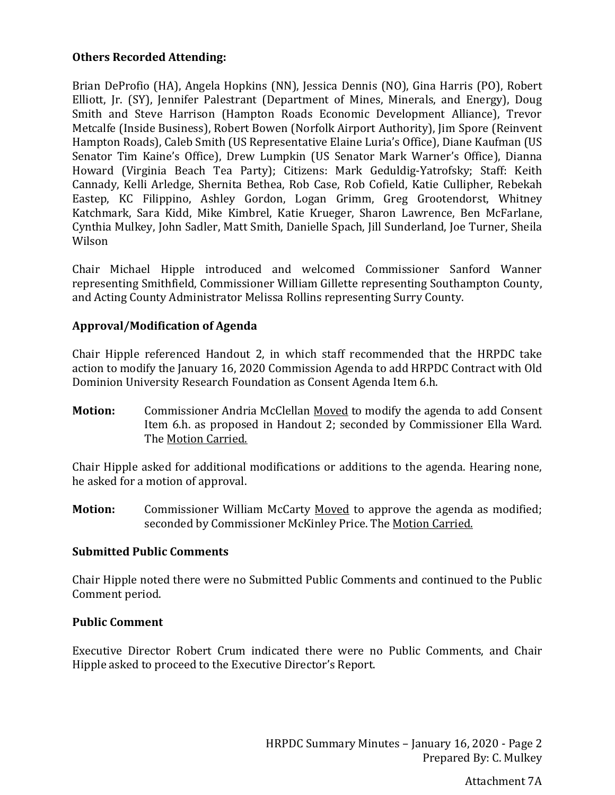### **Others Recorded Attending:**

Brian DeProfio (HA), Angela Hopkins (NN), Jessica Dennis (NO), Gina Harris (PO), Robert Elliott, Jr. (SY), Jennifer Palestrant (Department of Mines, Minerals, and Energy), Doug Smith and Steve Harrison (Hampton Roads Economic Development Alliance), Trevor Metcalfe (Inside Business), Robert Bowen (Norfolk Airport Authority), Jim Spore (Reinvent Hampton Roads), Caleb Smith (US Representative Elaine Luria's Office), Diane Kaufman (US Senator Tim Kaine's Office), Drew Lumpkin (US Senator Mark Warner's Office), Dianna Howard (Virginia Beach Tea Party); Citizens: Mark Geduldig-Yatrofsky; Staff: Keith Cannady, Kelli Arledge, Shernita Bethea, Rob Case, Rob Cofield, Katie Cullipher, Rebekah Eastep, KC Filippino, Ashley Gordon, Logan Grimm, Greg Grootendorst, Whitney Katchmark, Sara Kidd, Mike Kimbrel, Katie Krueger, Sharon Lawrence, Ben McFarlane, Cynthia Mulkey, John Sadler, Matt Smith, Danielle Spach, Jill Sunderland, Joe Turner, Sheila Wilson

Chair Michael Hipple introduced and welcomed Commissioner Sanford Wanner representing Smithfield, Commissioner William Gillette representing Southampton County, and Acting County Administrator Melissa Rollins representing Surry County.

## **Approval/Modification of Agenda**

Chair Hipple referenced Handout 2, in which staff recommended that the HRPDC take action to modify the January 16, 2020 Commission Agenda to add HRPDC Contract with Old Dominion University Research Foundation as Consent Agenda Item 6.h.

**Motion:** Commissioner Andria McClellan Moved to modify the agenda to add Consent Item 6.h. as proposed in Handout 2; seconded by Commissioner Ella Ward. The Motion Carried.

Chair Hipple asked for additional modifications or additions to the agenda. Hearing none, he asked for a motion of approval.

**Motion:** Commissioner William McCarty Moved to approve the agenda as modified; seconded by Commissioner McKinley Price. The Motion Carried.

### **Submitted Public Comments**

Chair Hipple noted there were no Submitted Public Comments and continued to the Public Comment period.

#### **Public Comment**

Executive Director Robert Crum indicated there were no Public Comments, and Chair Hipple asked to proceed to the Executive Director's Report.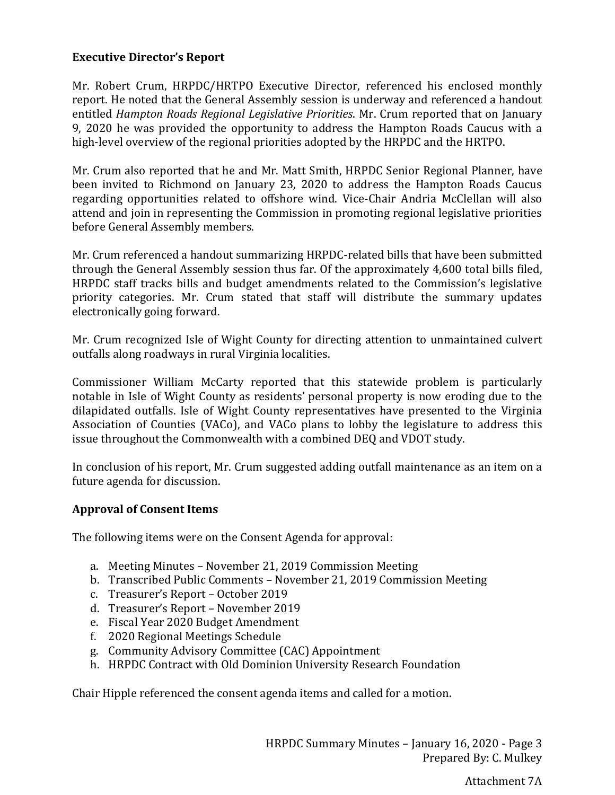## **Executive Director's Report**

Mr. Robert Crum, HRPDC/HRTPO Executive Director, referenced his enclosed monthly report. He noted that the General Assembly session is underway and referenced a handout entitled *Hampton Roads Regional Legislative Priorities*. Mr. Crum reported that on January 9, 2020 he was provided the opportunity to address the Hampton Roads Caucus with a high-level overview of the regional priorities adopted by the HRPDC and the HRTPO.

Mr. Crum also reported that he and Mr. Matt Smith, HRPDC Senior Regional Planner, have been invited to Richmond on January 23, 2020 to address the Hampton Roads Caucus regarding opportunities related to offshore wind. Vice-Chair Andria McClellan will also attend and join in representing the Commission in promoting regional legislative priorities before General Assembly members.

Mr. Crum referenced a handout summarizing HRPDC-related bills that have been submitted through the General Assembly session thus far. Of the approximately 4,600 total bills filed, HRPDC staff tracks bills and budget amendments related to the Commission's legislative priority categories. Mr. Crum stated that staff will distribute the summary updates electronically going forward.

Mr. Crum recognized Isle of Wight County for directing attention to unmaintained culvert outfalls along roadways in rural Virginia localities.

Commissioner William McCarty reported that this statewide problem is particularly notable in Isle of Wight County as residents' personal property is now eroding due to the dilapidated outfalls. Isle of Wight County representatives have presented to the Virginia Association of Counties (VACo), and VACo plans to lobby the legislature to address this issue throughout the Commonwealth with a combined DEQ and VDOT study.

In conclusion of his report, Mr. Crum suggested adding outfall maintenance as an item on a future agenda for discussion.

### **Approval of Consent Items**

The following items were on the Consent Agenda for approval:

- a. Meeting Minutes November 21, 2019 Commission Meeting
- b. Transcribed Public Comments November 21, 2019 Commission Meeting
- c. Treasurer's Report October 2019
- d. Treasurer's Report November 2019
- e. Fiscal Year 2020 Budget Amendment
- f. 2020 Regional Meetings Schedule
- g. Community Advisory Committee (CAC) Appointment
- h. HRPDC Contract with Old Dominion University Research Foundation

Chair Hipple referenced the consent agenda items and called for a motion.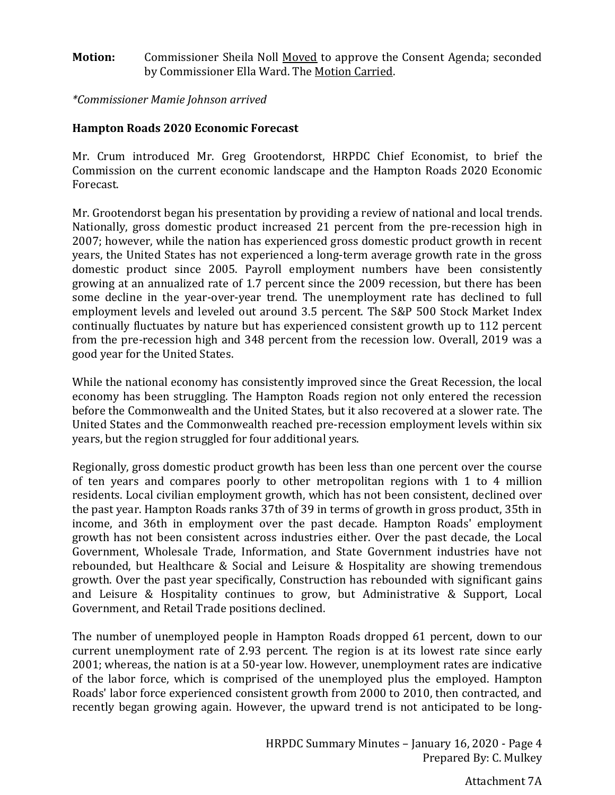#### **Motion:** Commissioner Sheila Noll Moved to approve the Consent Agenda; seconded by Commissioner Ella Ward. The Motion Carried.

*\*Commissioner Mamie Johnson arrived*

### **Hampton Roads 2020 Economic Forecast**

Mr. Crum introduced Mr. Greg Grootendorst, HRPDC Chief Economist, to brief the Commission on the current economic landscape and the Hampton Roads 2020 Economic Forecast.

Mr. Grootendorst began his presentation by providing a review of national and local trends. Nationally, gross domestic product increased 21 percent from the pre-recession high in 2007; however, while the nation has experienced gross domestic product growth in recent years, the United States has not experienced a long-term average growth rate in the gross domestic product since 2005. Payroll employment numbers have been consistently growing at an annualized rate of 1.7 percent since the 2009 recession, but there has been some decline in the year-over-year trend. The unemployment rate has declined to full employment levels and leveled out around 3.5 percent. The S&P 500 Stock Market Index continually fluctuates by nature but has experienced consistent growth up to 112 percent from the pre-recession high and 348 percent from the recession low. Overall, 2019 was a good year for the United States.

While the national economy has consistently improved since the Great Recession, the local economy has been struggling. The Hampton Roads region not only entered the recession before the Commonwealth and the United States, but it also recovered at a slower rate. The United States and the Commonwealth reached pre-recession employment levels within six years, but the region struggled for four additional years.

Regionally, gross domestic product growth has been less than one percent over the course of ten years and compares poorly to other metropolitan regions with 1 to 4 million residents. Local civilian employment growth, which has not been consistent, declined over the past year. Hampton Roads ranks 37th of 39 in terms of growth in gross product, 35th in income, and 36th in employment over the past decade. Hampton Roads' employment growth has not been consistent across industries either. Over the past decade, the Local Government, Wholesale Trade, Information, and State Government industries have not rebounded, but Healthcare & Social and Leisure & Hospitality are showing tremendous growth. Over the past year specifically, Construction has rebounded with significant gains and Leisure & Hospitality continues to grow, but Administrative & Support, Local Government, and Retail Trade positions declined.

The number of unemployed people in Hampton Roads dropped 61 percent, down to our current unemployment rate of 2.93 percent. The region is at its lowest rate since early 2001; whereas, the nation is at a 50-year low. However, unemployment rates are indicative of the labor force, which is comprised of the unemployed plus the employed. Hampton Roads' labor force experienced consistent growth from 2000 to 2010, then contracted, and recently began growing again. However, the upward trend is not anticipated to be long-

Attachment 7A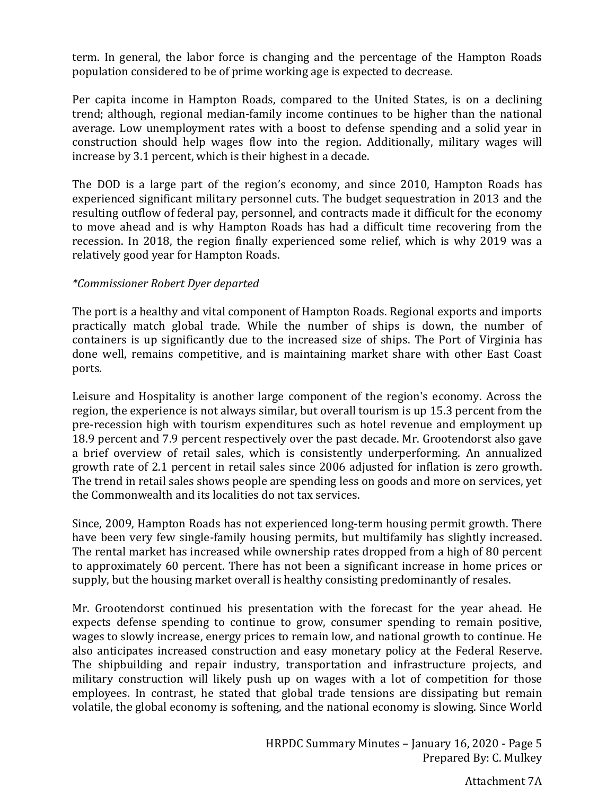term. In general, the labor force is changing and the percentage of the Hampton Roads population considered to be of prime working age is expected to decrease.

Per capita income in Hampton Roads, compared to the United States, is on a declining trend; although, regional median-family income continues to be higher than the national average. Low unemployment rates with a boost to defense spending and a solid year in construction should help wages flow into the region. Additionally, military wages will increase by 3.1 percent, which is their highest in a decade.

The DOD is a large part of the region's economy, and since 2010, Hampton Roads has experienced significant military personnel cuts. The budget sequestration in 2013 and the resulting outflow of federal pay, personnel, and contracts made it difficult for the economy to move ahead and is why Hampton Roads has had a difficult time recovering from the recession. In 2018, the region finally experienced some relief, which is why 2019 was a relatively good year for Hampton Roads.

### *\*Commissioner Robert Dyer departed*

The port is a healthy and vital component of Hampton Roads. Regional exports and imports practically match global trade. While the number of ships is down, the number of containers is up significantly due to the increased size of ships. The Port of Virginia has done well, remains competitive, and is maintaining market share with other East Coast ports.

Leisure and Hospitality is another large component of the region's economy. Across the region, the experience is not always similar, but overall tourism is up 15.3 percent from the pre-recession high with tourism expenditures such as hotel revenue and employment up 18.9 percent and 7.9 percent respectively over the past decade. Mr. Grootendorst also gave a brief overview of retail sales, which is consistently underperforming. An annualized growth rate of 2.1 percent in retail sales since 2006 adjusted for inflation is zero growth. The trend in retail sales shows people are spending less on goods and more on services, yet the Commonwealth and its localities do not tax services.

Since, 2009, Hampton Roads has not experienced long-term housing permit growth. There have been very few single-family housing permits, but multifamily has slightly increased. The rental market has increased while ownership rates dropped from a high of 80 percent to approximately 60 percent. There has not been a significant increase in home prices or supply, but the housing market overall is healthy consisting predominantly of resales.

Mr. Grootendorst continued his presentation with the forecast for the year ahead. He expects defense spending to continue to grow, consumer spending to remain positive, wages to slowly increase, energy prices to remain low, and national growth to continue. He also anticipates increased construction and easy monetary policy at the Federal Reserve. The shipbuilding and repair industry, transportation and infrastructure projects, and military construction will likely push up on wages with a lot of competition for those employees. In contrast, he stated that global trade tensions are dissipating but remain volatile, the global economy is softening, and the national economy is slowing. Since World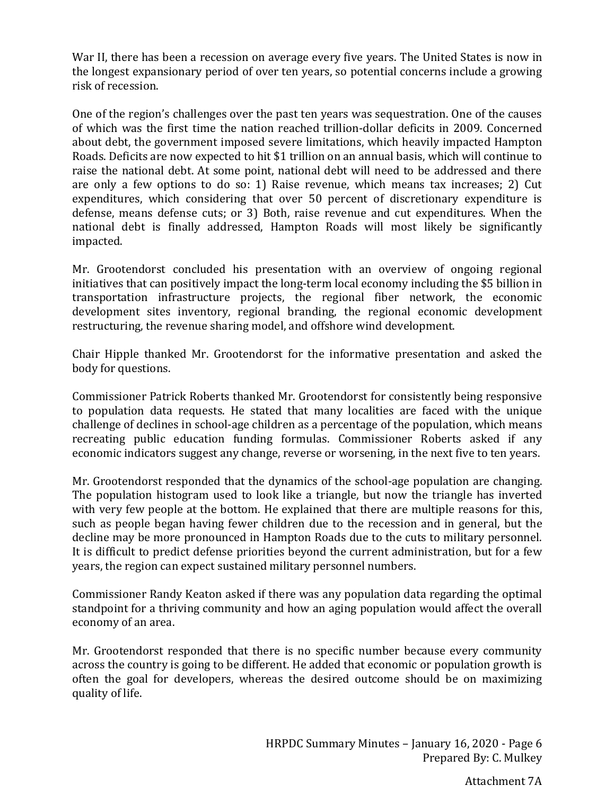War II, there has been a recession on average every five years. The United States is now in the longest expansionary period of over ten years, so potential concerns include a growing risk of recession.

One of the region's challenges over the past ten years was sequestration. One of the causes of which was the first time the nation reached trillion-dollar deficits in 2009. Concerned about debt, the government imposed severe limitations, which heavily impacted Hampton Roads. Deficits are now expected to hit \$1 trillion on an annual basis, which will continue to raise the national debt. At some point, national debt will need to be addressed and there are only a few options to do so: 1) Raise revenue, which means tax increases; 2) Cut expenditures, which considering that over 50 percent of discretionary expenditure is defense, means defense cuts; or 3) Both, raise revenue and cut expenditures. When the national debt is finally addressed, Hampton Roads will most likely be significantly impacted.

Mr. Grootendorst concluded his presentation with an overview of ongoing regional initiatives that can positively impact the long-term local economy including the \$5 billion in transportation infrastructure projects, the regional fiber network, the economic development sites inventory, regional branding, the regional economic development restructuring, the revenue sharing model, and offshore wind development.

Chair Hipple thanked Mr. Grootendorst for the informative presentation and asked the body for questions.

Commissioner Patrick Roberts thanked Mr. Grootendorst for consistently being responsive to population data requests. He stated that many localities are faced with the unique challenge of declines in school-age children as a percentage of the population, which means recreating public education funding formulas. Commissioner Roberts asked if any economic indicators suggest any change, reverse or worsening, in the next five to ten years.

Mr. Grootendorst responded that the dynamics of the school-age population are changing. The population histogram used to look like a triangle, but now the triangle has inverted with very few people at the bottom. He explained that there are multiple reasons for this, such as people began having fewer children due to the recession and in general, but the decline may be more pronounced in Hampton Roads due to the cuts to military personnel. It is difficult to predict defense priorities beyond the current administration, but for a few years, the region can expect sustained military personnel numbers.

Commissioner Randy Keaton asked if there was any population data regarding the optimal standpoint for a thriving community and how an aging population would affect the overall economy of an area.

Mr. Grootendorst responded that there is no specific number because every community across the country is going to be different. He added that economic or population growth is often the goal for developers, whereas the desired outcome should be on maximizing quality of life.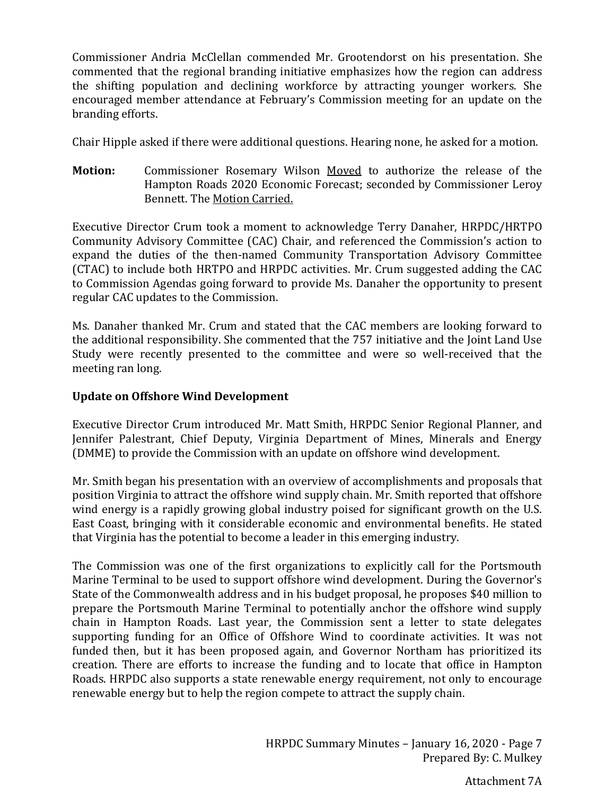Commissioner Andria McClellan commended Mr. Grootendorst on his presentation. She commented that the regional branding initiative emphasizes how the region can address the shifting population and declining workforce by attracting younger workers. She encouraged member attendance at February's Commission meeting for an update on the branding efforts.

Chair Hipple asked if there were additional questions. Hearing none, he asked for a motion.

**Motion:** Commissioner Rosemary Wilson Moved to authorize the release of the Hampton Roads 2020 Economic Forecast; seconded by Commissioner Leroy Bennett. The Motion Carried.

Executive Director Crum took a moment to acknowledge Terry Danaher, HRPDC/HRTPO Community Advisory Committee (CAC) Chair, and referenced the Commission's action to expand the duties of the then-named Community Transportation Advisory Committee (CTAC) to include both HRTPO and HRPDC activities. Mr. Crum suggested adding the CAC to Commission Agendas going forward to provide Ms. Danaher the opportunity to present regular CAC updates to the Commission.

Ms. Danaher thanked Mr. Crum and stated that the CAC members are looking forward to the additional responsibility. She commented that the 757 initiative and the Joint Land Use Study were recently presented to the committee and were so well-received that the meeting ran long.

### **Update on Offshore Wind Development**

Executive Director Crum introduced Mr. Matt Smith, HRPDC Senior Regional Planner, and Jennifer Palestrant, Chief Deputy, Virginia Department of Mines, Minerals and Energy (DMME) to provide the Commission with an update on offshore wind development.

Mr. Smith began his presentation with an overview of accomplishments and proposals that position Virginia to attract the offshore wind supply chain. Mr. Smith reported that offshore wind energy is a rapidly growing global industry poised for significant growth on the U.S. East Coast, bringing with it considerable economic and environmental benefits. He stated that Virginia has the potential to become a leader in this emerging industry.

The Commission was one of the first organizations to explicitly call for the Portsmouth Marine Terminal to be used to support offshore wind development. During the Governor's State of the Commonwealth address and in his budget proposal, he proposes \$40 million to prepare the Portsmouth Marine Terminal to potentially anchor the offshore wind supply chain in Hampton Roads. Last year, the Commission sent a letter to state delegates supporting funding for an Office of Offshore Wind to coordinate activities. It was not funded then, but it has been proposed again, and Governor Northam has prioritized its creation. There are efforts to increase the funding and to locate that office in Hampton Roads. HRPDC also supports a state renewable energy requirement, not only to encourage renewable energy but to help the region compete to attract the supply chain.

Attachment 7A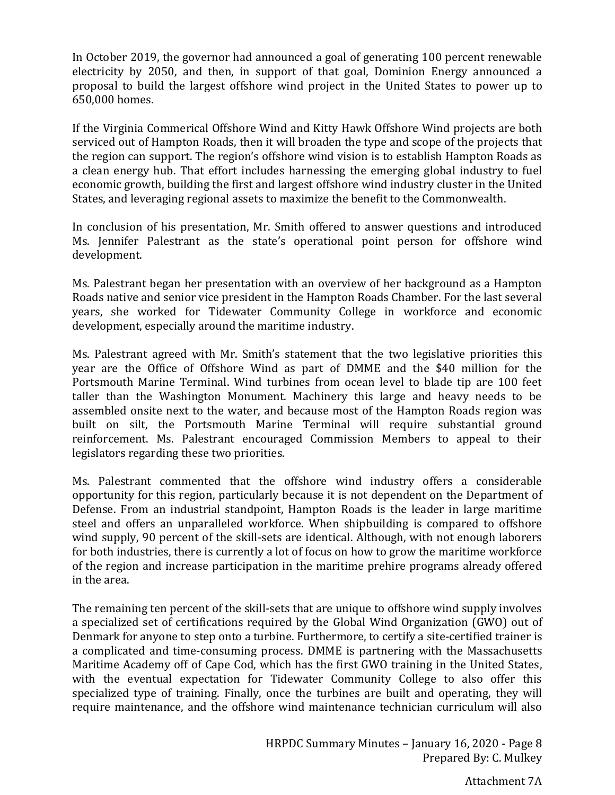In October 2019, the governor had announced a goal of generating 100 percent renewable electricity by 2050, and then, in support of that goal, Dominion Energy announced a proposal to build the largest offshore wind project in the United States to power up to 650,000 homes.

If the Virginia Commerical Offshore Wind and Kitty Hawk Offshore Wind projects are both serviced out of Hampton Roads, then it will broaden the type and scope of the projects that the region can support. The region's offshore wind vision is to establish Hampton Roads as a clean energy hub. That effort includes harnessing the emerging global industry to fuel economic growth, building the first and largest offshore wind industry cluster in the United States, and leveraging regional assets to maximize the benefit to the Commonwealth.

In conclusion of his presentation, Mr. Smith offered to answer questions and introduced Ms. Jennifer Palestrant as the state's operational point person for offshore wind development.

Ms. Palestrant began her presentation with an overview of her background as a Hampton Roads native and senior vice president in the Hampton Roads Chamber. For the last several years, she worked for Tidewater Community College in workforce and economic development, especially around the maritime industry.

Ms. Palestrant agreed with Mr. Smith's statement that the two legislative priorities this year are the Office of Offshore Wind as part of DMME and the \$40 million for the Portsmouth Marine Terminal. Wind turbines from ocean level to blade tip are 100 feet taller than the Washington Monument. Machinery this large and heavy needs to be assembled onsite next to the water, and because most of the Hampton Roads region was built on silt, the Portsmouth Marine Terminal will require substantial ground reinforcement. Ms. Palestrant encouraged Commission Members to appeal to their legislators regarding these two priorities.

Ms. Palestrant commented that the offshore wind industry offers a considerable opportunity for this region, particularly because it is not dependent on the Department of Defense. From an industrial standpoint, Hampton Roads is the leader in large maritime steel and offers an unparalleled workforce. When shipbuilding is compared to offshore wind supply, 90 percent of the skill-sets are identical. Although, with not enough laborers for both industries, there is currently a lot of focus on how to grow the maritime workforce of the region and increase participation in the maritime prehire programs already offered in the area.

The remaining ten percent of the skill-sets that are unique to offshore wind supply involves a specialized set of certifications required by the Global Wind Organization (GWO) out of Denmark for anyone to step onto a turbine. Furthermore, to certify a site-certified trainer is a complicated and time-consuming process. DMME is partnering with the Massachusetts Maritime Academy off of Cape Cod, which has the first GWO training in the United States, with the eventual expectation for Tidewater Community College to also offer this specialized type of training. Finally, once the turbines are built and operating, they will require maintenance, and the offshore wind maintenance technician curriculum will also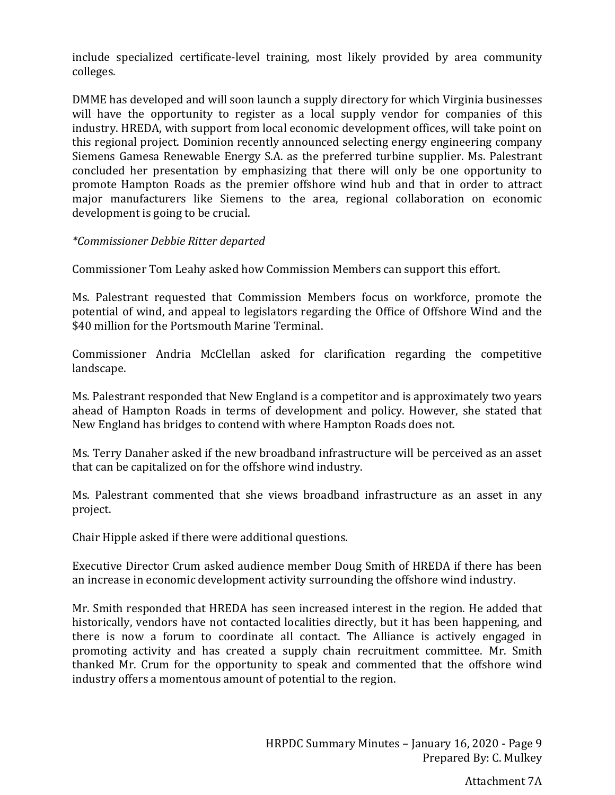include specialized certificate-level training, most likely provided by area community colleges.

DMME has developed and will soon launch a supply directory for which Virginia businesses will have the opportunity to register as a local supply vendor for companies of this industry. HREDA, with support from local economic development offices, will take point on this regional project. Dominion recently announced selecting energy engineering company Siemens Gamesa Renewable Energy S.A. as the preferred turbine supplier. Ms. Palestrant concluded her presentation by emphasizing that there will only be one opportunity to promote Hampton Roads as the premier offshore wind hub and that in order to attract major manufacturers like Siemens to the area, regional collaboration on economic development is going to be crucial.

#### *\*Commissioner Debbie Ritter departed*

Commissioner Tom Leahy asked how Commission Members can support this effort.

Ms. Palestrant requested that Commission Members focus on workforce, promote the potential of wind, and appeal to legislators regarding the Office of Offshore Wind and the \$40 million for the Portsmouth Marine Terminal.

Commissioner Andria McClellan asked for clarification regarding the competitive landscape.

Ms. Palestrant responded that New England is a competitor and is approximately two years ahead of Hampton Roads in terms of development and policy. However, she stated that New England has bridges to contend with where Hampton Roads does not.

Ms. Terry Danaher asked if the new broadband infrastructure will be perceived as an asset that can be capitalized on for the offshore wind industry.

Ms. Palestrant commented that she views broadband infrastructure as an asset in any project.

Chair Hipple asked if there were additional questions.

Executive Director Crum asked audience member Doug Smith of HREDA if there has been an increase in economic development activity surrounding the offshore wind industry.

Mr. Smith responded that HREDA has seen increased interest in the region. He added that historically, vendors have not contacted localities directly, but it has been happening, and there is now a forum to coordinate all contact. The Alliance is actively engaged in promoting activity and has created a supply chain recruitment committee. Mr. Smith thanked Mr. Crum for the opportunity to speak and commented that the offshore wind industry offers a momentous amount of potential to the region.